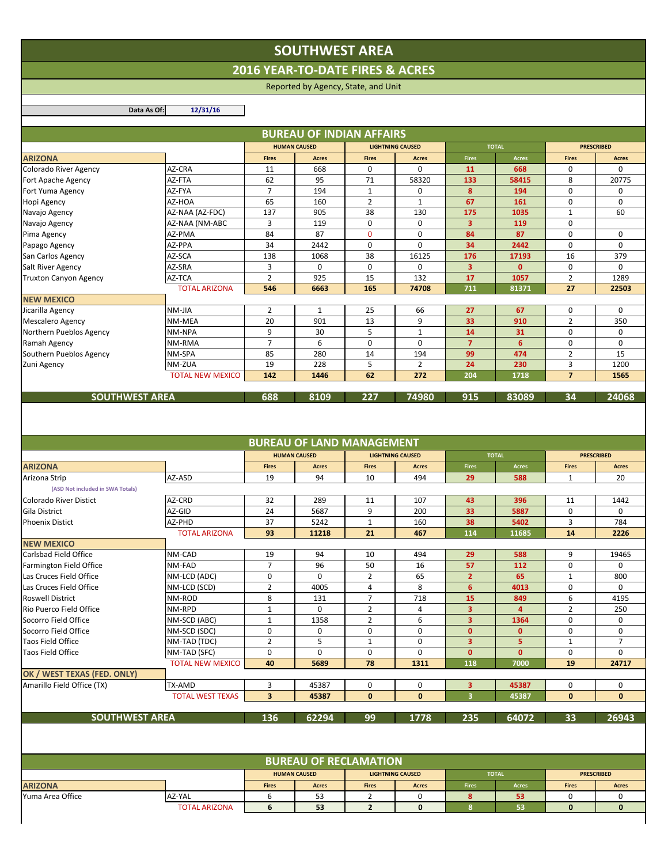## **SOUTHWEST AREA**

**2016 YEAR‐TO‐DATE FIRES & ACRES**

Reported by Agency, State, and Unit

**Data As Of: 12/31/16**

 $\sim 1$ 

| <b>Fires</b><br>11<br>62<br>$\overline{7}$<br>65<br>137<br>3<br>84<br>34<br>138<br>3<br>$\overline{2}$<br>546 | <b>HUMAN CAUSED</b><br><b>Acres</b><br>668<br>95<br>194<br>160<br>905<br>119<br>87<br>2442<br>1068<br>0<br>925<br>6663 | <b>Fires</b><br>0<br>71<br>1<br>$\overline{2}$<br>38<br>$\mathbf 0$<br>$\mathbf{0}$<br>$\Omega$<br>38<br>0<br>15 | <b>LIGHTNING CAUSED</b><br><b>Acres</b><br>$\Omega$<br>58320<br>0<br>$\mathbf{1}$<br>130<br>0<br>$\mathbf 0$<br>$\Omega$<br>16125<br>0<br>132 | <b>Fires</b><br>11<br>133<br>8<br>67<br>175<br>3<br>84<br>34<br>176<br>3<br>17 | <b>TOTAL</b><br><b>Acres</b><br>668<br>58415<br>194<br>161<br>1035<br>119<br>87<br>2442<br>17193<br>$\mathbf{0}$ | <b>Fires</b><br>0<br>8<br>$\mathbf 0$<br>$\mathbf 0$<br>$\mathbf{1}$<br>$\mathbf 0$<br>$\mathbf 0$<br>0<br>16<br>$\mathbf 0$ | <b>PRESCRIBED</b><br><b>Acres</b><br>$\Omega$<br>20775<br>0<br>$\mathbf 0$<br>60<br>$\mathbf 0$<br>$\Omega$<br>379 |
|---------------------------------------------------------------------------------------------------------------|------------------------------------------------------------------------------------------------------------------------|------------------------------------------------------------------------------------------------------------------|-----------------------------------------------------------------------------------------------------------------------------------------------|--------------------------------------------------------------------------------|------------------------------------------------------------------------------------------------------------------|------------------------------------------------------------------------------------------------------------------------------|--------------------------------------------------------------------------------------------------------------------|
|                                                                                                               |                                                                                                                        |                                                                                                                  |                                                                                                                                               |                                                                                |                                                                                                                  |                                                                                                                              |                                                                                                                    |
|                                                                                                               |                                                                                                                        |                                                                                                                  |                                                                                                                                               |                                                                                |                                                                                                                  |                                                                                                                              |                                                                                                                    |
|                                                                                                               |                                                                                                                        |                                                                                                                  |                                                                                                                                               |                                                                                |                                                                                                                  |                                                                                                                              |                                                                                                                    |
|                                                                                                               |                                                                                                                        |                                                                                                                  |                                                                                                                                               |                                                                                |                                                                                                                  |                                                                                                                              |                                                                                                                    |
|                                                                                                               |                                                                                                                        |                                                                                                                  |                                                                                                                                               |                                                                                |                                                                                                                  |                                                                                                                              |                                                                                                                    |
|                                                                                                               |                                                                                                                        |                                                                                                                  |                                                                                                                                               |                                                                                |                                                                                                                  |                                                                                                                              |                                                                                                                    |
|                                                                                                               |                                                                                                                        |                                                                                                                  |                                                                                                                                               |                                                                                |                                                                                                                  |                                                                                                                              |                                                                                                                    |
|                                                                                                               |                                                                                                                        |                                                                                                                  |                                                                                                                                               |                                                                                |                                                                                                                  |                                                                                                                              |                                                                                                                    |
|                                                                                                               |                                                                                                                        |                                                                                                                  |                                                                                                                                               |                                                                                |                                                                                                                  |                                                                                                                              |                                                                                                                    |
|                                                                                                               |                                                                                                                        |                                                                                                                  |                                                                                                                                               |                                                                                |                                                                                                                  |                                                                                                                              |                                                                                                                    |
|                                                                                                               |                                                                                                                        |                                                                                                                  |                                                                                                                                               |                                                                                |                                                                                                                  |                                                                                                                              |                                                                                                                    |
|                                                                                                               |                                                                                                                        |                                                                                                                  |                                                                                                                                               |                                                                                |                                                                                                                  |                                                                                                                              | $\Omega$                                                                                                           |
|                                                                                                               |                                                                                                                        |                                                                                                                  |                                                                                                                                               |                                                                                | 1057                                                                                                             | $\overline{2}$                                                                                                               | 1289                                                                                                               |
|                                                                                                               |                                                                                                                        | 165                                                                                                              | 74708                                                                                                                                         | 711                                                                            | 81371                                                                                                            | 27                                                                                                                           | 22503                                                                                                              |
|                                                                                                               |                                                                                                                        |                                                                                                                  |                                                                                                                                               |                                                                                |                                                                                                                  |                                                                                                                              |                                                                                                                    |
| $\overline{2}$                                                                                                | $\mathbf{1}$                                                                                                           | 25                                                                                                               | 66                                                                                                                                            | 27                                                                             | 67                                                                                                               | $\mathbf 0$                                                                                                                  | $\Omega$                                                                                                           |
| 20                                                                                                            | 901                                                                                                                    | 13                                                                                                               | 9                                                                                                                                             | 33                                                                             | 910                                                                                                              | $\overline{2}$                                                                                                               | 350                                                                                                                |
| 9                                                                                                             | 30                                                                                                                     | 5                                                                                                                | $\mathbf{1}$                                                                                                                                  | 14                                                                             | 31                                                                                                               | $\mathbf 0$                                                                                                                  | $\mathbf 0$                                                                                                        |
| $\overline{7}$                                                                                                | 6                                                                                                                      | $\Omega$                                                                                                         | $\Omega$                                                                                                                                      | $\overline{7}$                                                                 | 6                                                                                                                | 0                                                                                                                            | $\Omega$                                                                                                           |
| 85                                                                                                            | 280                                                                                                                    | 14                                                                                                               | 194                                                                                                                                           | 99                                                                             | 474                                                                                                              | $\overline{2}$                                                                                                               | 15                                                                                                                 |
| 19                                                                                                            | 228                                                                                                                    | 5                                                                                                                | $\overline{2}$                                                                                                                                | 24                                                                             | 230                                                                                                              | 3                                                                                                                            | 1200                                                                                                               |
| 142                                                                                                           | 1446                                                                                                                   | 62                                                                                                               | 272                                                                                                                                           | 204                                                                            | 1718                                                                                                             | $\overline{7}$                                                                                                               | 1565                                                                                                               |
| 688                                                                                                           | 8109                                                                                                                   | 227                                                                                                              | 74980                                                                                                                                         |                                                                                | 83089                                                                                                            | 34                                                                                                                           | 24068                                                                                                              |
|                                                                                                               |                                                                                                                        |                                                                                                                  |                                                                                                                                               |                                                                                | 915                                                                                                              |                                                                                                                              |                                                                                                                    |

|                                  |                         |                         | <b>BUREAU OF LAND MANAGEMENT</b> |                         |                         |                         |                |                   |                   |
|----------------------------------|-------------------------|-------------------------|----------------------------------|-------------------------|-------------------------|-------------------------|----------------|-------------------|-------------------|
|                                  |                         |                         | <b>HUMAN CAUSED</b>              | <b>LIGHTNING CAUSED</b> |                         | <b>TOTAL</b>            |                | <b>PRESCRIBED</b> |                   |
| <b>ARIZONA</b>                   |                         | <b>Fires</b>            | <b>Acres</b>                     | <b>Fires</b>            | <b>Acres</b>            | <b>Fires</b>            | <b>Acres</b>   | <b>Fires</b>      | <b>Acres</b>      |
| Arizona Strip                    | AZ-ASD                  | 19                      | 94                               | 10                      | 494                     | 29                      | 588            | $\mathbf{1}$      | 20                |
| (ASD Not included in SWA Totals) |                         |                         |                                  |                         |                         |                         |                |                   |                   |
| <b>Colorado River Distict</b>    | AZ-CRD                  | 32                      | 289                              | 11                      | 107                     | 43                      | 396            | 11                | 1442              |
| <b>Gila District</b>             | AZ-GID                  | 24                      | 5687                             | 9                       | 200                     | 33                      | 5887           | $\mathbf 0$       | $\mathbf 0$       |
| <b>Phoenix Distict</b>           | AZ-PHD                  | 37                      | 5242                             | $\mathbf{1}$            | 160                     | 38                      | 5402           | 3                 | 784               |
|                                  | <b>TOTAL ARIZONA</b>    | 93                      | 11218                            | 21                      | 467                     | 114                     | 11685          | 14                | 2226              |
| <b>NEW MEXICO</b>                |                         |                         |                                  |                         |                         |                         |                |                   |                   |
| Carlsbad Field Office            | NM-CAD                  | 19                      | 94                               | 10                      | 494                     | 29                      | 588            | 9                 | 19465             |
| Farmington Field Office          | NM-FAD                  | $\overline{7}$          | 96                               | 50                      | 16                      | 57                      | 112            | $\mathbf 0$       | $\Omega$          |
| Las Cruces Field Office          | NM-LCD (ADC)            | $\mathbf 0$             | $\Omega$                         | $\overline{2}$          | 65                      | $\overline{2}$          | 65             | $\mathbf{1}$      | 800               |
| Las Cruces Field Office          | NM-LCD (SCD)            | $\overline{2}$          | 4005                             | $\overline{4}$          | 8                       | 6                       | 4013           | $\mathbf 0$       | $\Omega$          |
| <b>Roswell District</b>          | NM-ROD                  | 8                       | 131                              | $\overline{7}$          | 718                     | 15                      | 849            | 6                 | 4195              |
| Rio Puerco Field Office          | NM-RPD                  | $\mathbf{1}$            | $\mathbf 0$                      | $\overline{2}$          | 4                       | 3                       | $\overline{4}$ | $\overline{2}$    | 250               |
| Socorro Field Office             | NM-SCD (ABC)            | $\mathbf{1}$            | 1358                             | $\overline{2}$          | 6                       | 3                       | 1364           | 0                 | $\mathbf 0$       |
| Socorro Field Office             | NM-SCD (SDC)            | $\mathbf 0$             | $\mathbf 0$                      | $\mathbf 0$             | $\mathbf{0}$            | $\mathbf{0}$            | $\mathbf{0}$   | $\mathbf 0$       | $\mathbf 0$       |
| <b>Taos Field Office</b>         | NM-TAD (TDC)            | $\overline{2}$          | 5                                | $\mathbf{1}$            | $\mathbf 0$             | $\overline{\mathbf{3}}$ | 5              | $\mathbf{1}$      | $\overline{7}$    |
| <b>Taos Field Office</b>         | NM-TAD (SFC)            | $\mathbf 0$             | $\Omega$                         | $\mathbf 0$             | $\Omega$                | $\mathbf{0}$            | $\mathbf{0}$   | $\mathbf 0$       | $\mathbf 0$       |
|                                  | <b>TOTAL NEW MEXICO</b> | 40                      | 5689                             | 78                      | 1311                    | 118                     | 7000           | 19                | 24717             |
| OK / WEST TEXAS (FED. ONLY)      |                         |                         |                                  |                         |                         |                         |                |                   |                   |
| Amarillo Field Office (TX)       | TX-AMD                  | 3                       | 45387                            | $\mathbf 0$             | $\mathbf{0}$            | 3                       | 45387          | 0                 | $\mathbf 0$       |
|                                  | <b>TOTAL WEST TEXAS</b> | $\overline{\mathbf{3}}$ | 45387                            | $\bf{0}$                | $\bf{0}$                | $\overline{\mathbf{3}}$ | 45387          | $\mathbf{0}$      | $\bf{0}$          |
|                                  |                         |                         |                                  |                         |                         |                         |                |                   |                   |
| <b>SOUTHWEST AREA</b>            |                         | 136                     | 62294                            | 99                      | 1778                    | 235                     | 64072          | 33                | 26943             |
|                                  |                         |                         |                                  |                         |                         |                         |                |                   |                   |
|                                  |                         |                         | <b>BUREAU OF RECLAMATION</b>     |                         |                         |                         |                |                   |                   |
|                                  |                         |                         | <b>HUMAN CAUSED</b>              |                         | <b>LIGHTNING CAUSED</b> |                         | <b>TOTAL</b>   |                   | <b>PRESCRIBED</b> |
| <b>ARIZONA</b>                   |                         | <b>Fires</b>            | <b>Acres</b>                     | <b>Fires</b>            | <b>Acres</b>            | <b>Fires</b>            | <b>Acres</b>   | <b>Fires</b>      | <b>Acres</b>      |
| Yuma Area Office                 | AZ-YAL                  | 6                       | 53                               | $\overline{2}$          | 0                       | 8                       | 53             | 0                 | 0                 |
|                                  | <b>TOTAL ARIZONA</b>    | 6                       | 53                               | $\overline{2}$          | $\mathbf 0$             | 8                       | 53             | $\mathbf{0}$      | $\mathbf 0$       |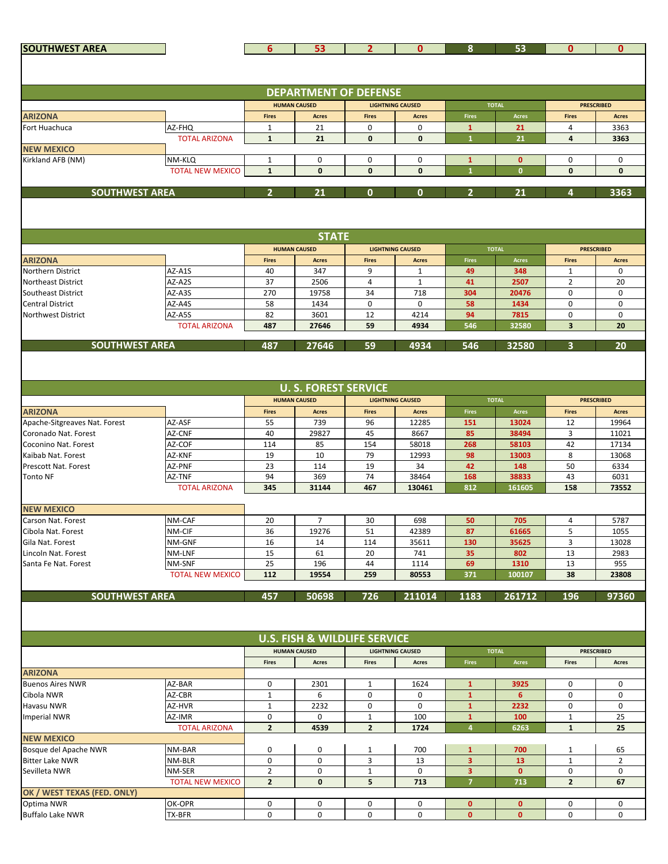| <b>SOUTHWEST AREA</b>                                 |                                | 6                 | 53                                      | $\overline{2}$ | $\mathbf{0}$            | 8                            | 53             | $\mathbf{0}$        | $\mathbf{0}$      |
|-------------------------------------------------------|--------------------------------|-------------------|-----------------------------------------|----------------|-------------------------|------------------------------|----------------|---------------------|-------------------|
|                                                       |                                |                   |                                         |                |                         |                              |                |                     |                   |
|                                                       |                                |                   |                                         |                |                         |                              |                |                     |                   |
|                                                       |                                |                   |                                         |                |                         |                              |                |                     |                   |
|                                                       |                                |                   | <b>DEPARTMENT OF DEFENSE</b>            |                |                         |                              |                |                     |                   |
|                                                       |                                |                   | <b>HUMAN CAUSED</b>                     |                | <b>LIGHTNING CAUSED</b> |                              | <b>TOTAL</b>   |                     | <b>PRESCRIBED</b> |
| <b>ARIZONA</b>                                        |                                | <b>Fires</b>      | <b>Acres</b>                            | <b>Fires</b>   | <b>Acres</b>            | <b>Fires</b>                 | <b>Acres</b>   | <b>Fires</b>        | <b>Acres</b>      |
| Fort Huachuca                                         | AZ-FHQ<br><b>TOTAL ARIZONA</b> | 1<br>$\mathbf{1}$ | 21<br>21                                | 0<br>0         | $\mathbf 0$<br>0        | $\mathbf{1}$<br>$\mathbf{1}$ | 21<br>21       | 4<br>4              | 3363<br>3363      |
| <b>NEW MEXICO</b>                                     |                                |                   |                                         |                |                         |                              |                |                     |                   |
| Kirkland AFB (NM)                                     | NM-KLQ                         | $\mathbf{1}$      | 0                                       | 0              | $\mathbf 0$             | $\mathbf{1}$                 | $\mathbf{0}$   | 0                   | $\mathbf 0$       |
|                                                       | <b>TOTAL NEW MEXICO</b>        | $\mathbf{1}$      | $\mathbf 0$                             | 0              | 0                       | $\mathbf{1}$                 | $\mathbf{0}$   | $\mathbf{0}$        | $\mathbf{0}$      |
|                                                       |                                |                   |                                         |                |                         |                              |                |                     |                   |
| <b>SOUTHWEST AREA</b>                                 |                                | $\overline{2}$    | 21                                      | 0              | $\mathbf{0}$            | $\overline{2}$               | 21             | 4                   | 3363              |
|                                                       |                                |                   |                                         |                |                         |                              |                |                     |                   |
|                                                       |                                |                   |                                         |                |                         |                              |                |                     |                   |
|                                                       |                                |                   |                                         |                |                         |                              |                |                     |                   |
|                                                       |                                |                   | <b>STATE</b>                            |                |                         |                              |                |                     |                   |
|                                                       |                                |                   | <b>HUMAN CAUSED</b>                     |                | <b>LIGHTNING CAUSED</b> |                              | <b>TOTAL</b>   |                     | <b>PRESCRIBED</b> |
| <b>ARIZONA</b>                                        |                                | <b>Fires</b>      | <b>Acres</b>                            | <b>Fires</b>   | <b>Acres</b>            | <b>Fires</b>                 | <b>Acres</b>   | <b>Fires</b>        | <b>Acres</b>      |
| <b>Northern District</b>                              | AZ-A1S                         | 40                | 347                                     | 9              | $\mathbf{1}$            | 49                           | 348            | $\mathbf{1}$        | 0                 |
| <b>Northeast District</b>                             | AZ-A2S<br>AZ-A3S               | 37<br>270         | 2506<br>19758                           | 4<br>34        | 1<br>718                | 41<br>304                    | 2507<br>20476  | $\overline{2}$<br>0 | 20<br>0           |
| Southeast District<br><b>Central District</b>         | AZ-A4S                         | 58                | 1434                                    | 0              | 0                       | 58                           | 1434           | 0                   | $\mathbf 0$       |
| Northwest District                                    | AZ-A5S                         | 82                | 3601                                    | 12             | 4214                    | 94                           | 7815           | 0                   | $\mathbf 0$       |
|                                                       | <b>TOTAL ARIZONA</b>           | 487               | 27646                                   | 59             | 4934                    | 546                          | 32580          | 3                   | 20                |
|                                                       |                                |                   |                                         |                |                         |                              |                |                     |                   |
| <b>SOUTHWEST AREA</b>                                 |                                | 487               | 27646                                   | 59             | 4934                    | 546                          | 32580          | 3                   | 20                |
|                                                       |                                |                   |                                         |                |                         |                              |                |                     |                   |
|                                                       |                                |                   |                                         |                |                         |                              |                |                     |                   |
|                                                       |                                |                   | <b>U.S. FOREST SERVICE</b>              |                |                         |                              |                |                     |                   |
|                                                       |                                |                   |                                         |                |                         |                              |                |                     |                   |
|                                                       |                                |                   | <b>HUMAN CAUSED</b>                     |                | <b>LIGHTNING CAUSED</b> |                              | <b>TOTAL</b>   |                     | <b>PRESCRIBED</b> |
| <b>ARIZONA</b>                                        |                                | <b>Fires</b>      | <b>Acres</b>                            | <b>Fires</b>   | <b>Acres</b>            | <b>Fires</b>                 | Acres          | <b>Fires</b><br>12  | <b>Acres</b>      |
| Apache-Sitgreaves Nat. Forest<br>Coronado Nat. Forest | AZ-ASF<br>AZ-CNF               | 55<br>40          | 739<br>29827                            | 96<br>45       | 12285<br>8667           | 151<br>85                    | 13024<br>38494 | 3                   | 19964<br>11021    |
| Coconino Nat. Forest                                  | AZ-COF                         | 114               | 85                                      | 154            | 58018                   | 268                          | 58103          | 42                  | 17134             |
| Kaibab Nat. Forest                                    | AZ-KNF                         | 19                | 10                                      | 79             | 12993                   | 98                           | 13003          | 8                   | 13068             |
| <b>Prescott Nat. Forest</b>                           | AZ-PNF                         | 23                | 114                                     | 19             | 34                      | 42                           | 148            | 50                  | 6334              |
| <b>Tonto NF</b>                                       | AZ-TNF                         | 94                | 369                                     | 74             | 38464                   | 168                          | 38833          | 43                  | 6031              |
|                                                       | <b>TOTAL ARIZONA</b>           | 345               | 31144                                   | 467            | 130461                  | 812                          | 161605         | 158                 | 73552             |
|                                                       |                                |                   |                                         |                |                         |                              |                |                     |                   |
| <b>NEW MEXICO</b>                                     |                                |                   |                                         |                |                         |                              |                |                     |                   |
| Carson Nat. Forest                                    | NM-CAF                         | 20                | $\overline{7}$                          | 30             | 698                     | 50                           | 705            | 4                   | 5787              |
| Cibola Nat. Forest                                    | NM-CIF                         | 36                | 19276                                   | 51             | 42389                   | 87                           | 61665          | 5                   | 1055              |
| Gila Nat. Forest                                      | NM-GNF                         | 16<br>15          | 14                                      | 114            | 35611                   | 130                          | 35625          | 3                   | 13028             |
| Lincoln Nat. Forest<br>Santa Fe Nat. Forest           | NM-LNF<br>NM-SNF               | 25                | 61<br>196                               | 20<br>44       | 741<br>1114             | 35<br>69                     | 802<br>1310    | 13<br>13            | 2983<br>955       |
|                                                       | <b>TOTAL NEW MEXICO</b>        | 112               | 19554                                   | 259            | 80553                   | 371                          | 100107         | 38                  | 23808             |
|                                                       |                                |                   |                                         |                |                         |                              |                |                     |                   |
| <b>SOUTHWEST AREA</b>                                 |                                | 457               | 50698                                   | 726            | 211014                  | 1183                         | 261712         | 196                 | 97360             |
|                                                       |                                |                   |                                         |                |                         |                              |                |                     |                   |
|                                                       |                                |                   |                                         |                |                         |                              |                |                     |                   |
|                                                       |                                |                   |                                         |                |                         |                              |                |                     |                   |
|                                                       |                                |                   | <b>U.S. FISH &amp; WILDLIFE SERVICE</b> |                |                         |                              |                |                     |                   |
|                                                       |                                |                   | <b>HUMAN CAUSED</b>                     |                | <b>LIGHTNING CAUSED</b> |                              | <b>TOTAL</b>   |                     | <b>PRESCRIBED</b> |
|                                                       |                                | <b>Fires</b>      | Acres                                   | <b>Fires</b>   | Acres                   | <b>Fires</b>                 | Acres          | <b>Fires</b>        | Acres             |
| <b>ARIZONA</b><br><b>Buenos Aires NWR</b>             |                                | 0                 |                                         |                |                         |                              |                |                     |                   |
| Cibola NWR                                            | AZ-BAR<br>AZ-CBR               | $\mathbf{1}$      | 2301<br>6                               | 1<br>0         | 1624<br>0               | $\mathbf{1}$<br>$\mathbf{1}$ | 3925<br>6      | 0<br>0              | 0<br>0            |
| Havasu NWR                                            | AZ-HVR                         | $\mathbf{1}$      | 2232                                    | 0              | $\mathbf 0$             | $\mathbf{1}$                 | 2232           | 0                   | 0                 |
| <b>Imperial NWR</b>                                   | AZ-IMR                         | 0                 | $\mathbf 0$                             | $\mathbf{1}$   | 100                     | $\mathbf{1}$                 | 100            | $\mathbf{1}$        | 25                |
|                                                       | <b>TOTAL ARIZONA</b>           | $\mathbf{2}$      | 4539                                    | $\overline{2}$ | 1724                    | $\overline{4}$               | 6263           | $\mathbf{1}$        | 25                |
| <b>NEW MEXICO</b>                                     |                                |                   |                                         |                |                         |                              |                |                     |                   |
| Bosque del Apache NWR                                 | NM-BAR                         | 0                 | $\pmb{0}$                               | 1              | 700                     | $\mathbf{1}$                 | 700            | 1                   | 65                |
| <b>Bitter Lake NWR</b>                                | NM-BLR                         | 0                 | 0                                       | 3              | 13                      | 3 <sup>2</sup>               | 13             | $\mathbf{1}$        | $\overline{2}$    |
| Sevilleta NWR                                         | NM-SER                         | $\overline{2}$    | 0                                       | $\mathbf{1}$   | 0                       | 3                            | $\mathbf{0}$   | 0                   | 0                 |
|                                                       | <b>TOTAL NEW MEXICO</b>        | $\overline{2}$    | $\mathbf{0}$                            | 5              | 713                     | $\overline{7}$               | 713            | $\mathbf{z}$        | 67                |
| OK / WEST TEXAS (FED. ONLY)                           |                                |                   |                                         |                |                         |                              |                |                     |                   |
| Optima NWR                                            | OK-OPR                         | 0                 | 0                                       | 0              | 0                       | $\mathbf{0}$                 | $\mathbf{0}$   | 0                   | 0                 |
| <b>Buffalo Lake NWR</b>                               | TX-BFR                         | 0                 | $\mathbf 0$                             | $\mathbf 0$    | $\mathbf 0$             | $\bullet$                    | $\mathbf{0}$   | 0                   | 0                 |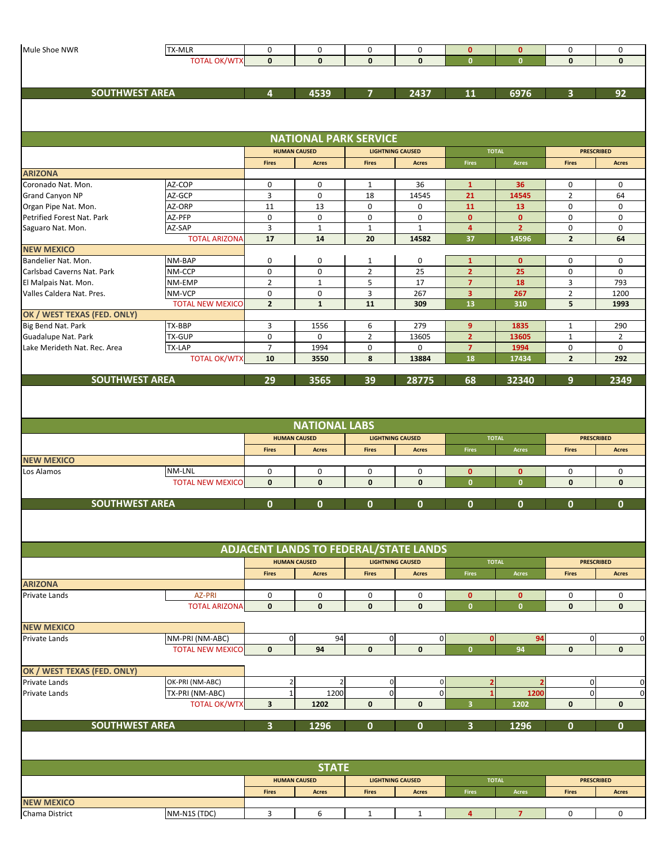| Mule Shoe NWR                | TX-MLR                  | 0                       | 0                            | 0              | 0                                            | $\mathbf{0}$                     | $\mathbf{0}$   | 0              | 0                                         |
|------------------------------|-------------------------|-------------------------|------------------------------|----------------|----------------------------------------------|----------------------------------|----------------|----------------|-------------------------------------------|
|                              | <b>TOTAL OK/WTX</b>     | $\mathbf{0}$            | $\mathbf{0}$                 | $\mathbf{0}$   | 0                                            | $\mathbf{0}$                     | $\mathbf{0}$   | $\mathbf{0}$   | $\mathbf{0}$                              |
|                              |                         |                         |                              |                |                                              |                                  |                |                |                                           |
|                              |                         |                         |                              |                |                                              |                                  |                |                |                                           |
| <b>SOUTHWEST AREA</b>        |                         | $\overline{\mathbf{4}}$ | 4539                         | 7              | 2437                                         | 11                               | 6976           | 3              | 92                                        |
|                              |                         |                         |                              |                |                                              |                                  |                |                |                                           |
|                              |                         |                         |                              |                |                                              |                                  |                |                |                                           |
|                              |                         |                         |                              |                |                                              |                                  |                |                |                                           |
|                              |                         |                         | <b>NATIONAL PARK SERVICE</b> |                |                                              |                                  |                |                |                                           |
|                              |                         |                         | <b>HUMAN CAUSED</b>          |                | <b>LIGHTNING CAUSED</b>                      |                                  | <b>TOTAL</b>   |                | <b>PRESCRIBED</b>                         |
|                              |                         | <b>Fires</b>            | <b>Acres</b>                 | <b>Fires</b>   | <b>Acres</b>                                 | Fires                            | Acres          | <b>Fires</b>   | <b>Acres</b>                              |
| <b>ARIZONA</b>               |                         |                         |                              |                |                                              |                                  |                |                |                                           |
| Coronado Nat. Mon.           | AZ-COP                  | 0                       | 0                            | $\mathbf{1}$   | 36                                           | $\mathbf{1}$                     | 36             | 0              | 0                                         |
| Grand Canyon NP              | AZ-GCP                  | $\overline{3}$          | 0                            | 18             | 14545                                        | 21                               | 14545          | $\overline{2}$ | 64                                        |
| Organ Pipe Nat. Mon.         | AZ-ORP                  | 11                      | 13                           | 0              | 0                                            | 11                               | 13             | 0              | 0                                         |
| Petrified Forest Nat. Park   | AZ-PFP                  | 0                       | 0                            | 0              | 0                                            | $\mathbf{0}$                     | $\mathbf{0}$   | 0              | 0                                         |
| Saguaro Nat. Mon.            | AZ-SAP                  | $\overline{3}$          | $\mathbf{1}$                 | $\mathbf{1}$   | $\mathbf{1}$                                 | $\overline{\mathbf{4}}$          | $\overline{2}$ | 0              | $\mathbf 0$                               |
|                              | <b>TOTAL ARIZONA</b>    | 17                      | 14                           | 20             | 14582                                        | 37                               | 14596          | $\overline{2}$ | 64                                        |
| <b>NEW MEXICO</b>            |                         |                         |                              |                |                                              |                                  |                |                |                                           |
| Bandelier Nat. Mon.          | NM-BAP                  | 0                       | 0                            | $\mathbf{1}$   | 0                                            | $\mathbf{1}$                     | $\mathbf{0}$   | 0              | 0                                         |
| Carlsbad Caverns Nat. Park   | NM-CCP                  | 0                       | 0                            | $\overline{2}$ | 25                                           | $\overline{2}$                   | 25             | 0              | 0                                         |
| El Malpais Nat. Mon.         | NM-EMP                  | $\overline{2}$          | $\mathbf{1}$                 | 5              | 17                                           | $\overline{7}$                   | 18             | 3              | 793                                       |
| Valles Caldera Nat. Pres.    | NM-VCP                  | 0                       | 0                            | 3              | 267                                          | 3                                | 267            | $\overline{2}$ | 1200                                      |
|                              | <b>TOTAL NEW MEXICO</b> | $\overline{2}$          | $\mathbf{1}$                 | 11             | 309                                          | 13                               | 310            | 5              | 1993                                      |
| OK / WEST TEXAS (FED. ONLY)  |                         |                         |                              |                |                                              |                                  |                |                |                                           |
| Big Bend Nat. Park           | TX-BBP                  | 3                       | 1556                         | 6              | 279                                          | 9 <sup>°</sup>                   | 1835           | $\mathbf{1}$   | 290                                       |
| Guadalupe Nat. Park          | <b>TX-GUP</b>           | $\mathbf 0$             | 0                            | $\overline{2}$ | 13605                                        | $\overline{2}$                   | 13605          | $\mathbf{1}$   | $\overline{2}$                            |
| Lake Merideth Nat. Rec. Area | TX-LAP                  | $\overline{7}$          | 1994                         | 0              | 0                                            | $\overline{7}$                   | 1994           | 0              | 0                                         |
|                              | <b>TOTAL OK/WTX</b>     | 10                      | 3550                         | 8              | 13884                                        | 18                               | 17434          | $\mathbf{2}$   | 292                                       |
|                              |                         |                         |                              |                |                                              |                                  |                |                |                                           |
| <b>SOUTHWEST AREA</b>        |                         | 29                      | 3565                         | 39             | 28775                                        | 68                               | 32340          | 9              | 2349                                      |
|                              |                         |                         |                              |                |                                              |                                  |                |                |                                           |
|                              |                         |                         | <b>NATIONAL LABS</b>         |                |                                              |                                  |                |                |                                           |
|                              |                         |                         |                              |                |                                              |                                  |                |                |                                           |
|                              |                         |                         | <b>HUMAN CAUSED</b>          |                | <b>LIGHTNING CAUSED</b>                      |                                  | <b>TOTAL</b>   |                | <b>PRESCRIBED</b>                         |
|                              |                         | <b>Fires</b>            | <b>Acres</b>                 | <b>Fires</b>   | <b>Acres</b>                                 | <b>Fires</b>                     | Acres          | <b>Fires</b>   | <b>Acres</b>                              |
| <b>NEW MEXICO</b>            |                         |                         |                              |                |                                              |                                  |                |                |                                           |
| Los Alamos                   | NM-LNL                  | 0                       | 0                            | 0              | 0                                            | $\mathbf{0}$                     | $\mathbf{0}$   | 0              | 0                                         |
|                              | <b>TOTAL NEW MEXICO</b> | $\mathbf 0$             | $\mathbf 0$                  | $\mathbf{0}$   | 0                                            | $\mathbf{0}$                     | $\mathbf{0}$   | $\mathbf 0$    | $\mathbf 0$                               |
|                              |                         |                         |                              |                |                                              |                                  |                |                |                                           |
| <b>SOUTHWEST AREA</b>        |                         | $\mathbf{0}$            | 0                            | 0              | 0                                            | U                                | U              | 0              | $\mathbf{0}$                              |
|                              |                         |                         |                              |                |                                              |                                  |                |                |                                           |
|                              |                         |                         |                              |                |                                              |                                  |                |                |                                           |
|                              |                         |                         |                              |                |                                              |                                  |                |                |                                           |
|                              |                         |                         |                              |                | <b>ADJACENT LANDS TO FEDERAL/STATE LANDS</b> |                                  |                |                |                                           |
|                              |                         |                         | <b>HUMAN CAUSED</b>          |                | <b>LIGHTNING CAUSED</b>                      |                                  | <b>TOTAL</b>   |                | <b>PRESCRIBED</b>                         |
|                              |                         | <b>Fires</b>            | <b>Acres</b>                 | <b>Fires</b>   | <b>Acres</b>                                 | Fires                            | Acres          | <b>Fires</b>   | <b>Acres</b>                              |
| <b>ARIZONA</b>               |                         |                         |                              |                |                                              |                                  |                |                |                                           |
| Private Lands                | <b>AZ-PRI</b>           | 0                       | 0                            | 0              | 0                                            | $\mathbf{0}$                     | $\mathbf{0}$   | 0              | 0                                         |
|                              | <b>TOTAL ARIZONA</b>    | $\mathbf{0}$            | $\mathbf 0$                  | $\mathbf{0}$   | $\mathbf{0}$                                 | $\mathbf{0}$                     | $\mathbf{0}$   | $\mathbf{0}$   | $\mathbf 0$                               |
|                              |                         |                         |                              |                |                                              |                                  |                |                |                                           |
| <b>NEW MEXICO</b>            |                         |                         |                              |                |                                              |                                  |                |                |                                           |
| Private Lands                | NM-PRI (NM-ABC)         | $\mathbf 0$             | 94                           | $\pmb{0}$      | 0                                            | $\mathbf 0$                      | 94             | $\overline{0}$ |                                           |
|                              | <b>TOTAL NEW MEXICO</b> | $\mathbf 0$             | 94                           | $\mathbf 0$    | $\mathbf{0}$                                 | $\mathbf{0}$                     | 94             | $\mathbf{0}$   | $\mathbf{0}$                              |
|                              |                         |                         |                              |                |                                              |                                  |                |                |                                           |
| OK / WEST TEXAS (FED. ONLY)  |                         |                         |                              |                |                                              |                                  |                |                |                                           |
| Private Lands                | OK-PRI (NM-ABC)         | $\overline{2}$          | $\overline{2}$               | $\pmb{0}$      | $\pmb{0}$                                    | $\overline{2}$<br>$\overline{1}$ | $\overline{2}$ | $\mathbf 0$    |                                           |
| Private Lands                | TX-PRI (NM-ABC)         | $\mathbf{1}$            | 1200                         | $\overline{0}$ | 0                                            |                                  | 1200           | $\mathbf 0$    |                                           |
|                              | <b>TOTAL OK/WTX</b>     | 3                       | 1202                         | 0              | $\bf{0}$                                     | 3                                | 1202           | 0              | $\mathbf 0$                               |
|                              |                         | $\overline{\mathbf{3}}$ |                              | 0              | 0                                            | $\overline{\mathbf{3}}$          |                | $\mathbf{0}$   | $\mathbf{0}$                              |
| <b>SOUTHWEST AREA</b>        |                         |                         | 1296                         |                |                                              |                                  | 1296           |                |                                           |
|                              |                         |                         |                              |                |                                              |                                  |                |                |                                           |
|                              |                         |                         |                              |                |                                              |                                  |                |                |                                           |
|                              |                         |                         | <b>STATE</b>                 |                |                                              |                                  |                |                | $\mathbf 0$<br>$\mathbf 0$<br>$\mathbf 0$ |
|                              |                         |                         | <b>HUMAN CAUSED</b>          |                | <b>LIGHTNING CAUSED</b>                      |                                  | <b>TOTAL</b>   |                | <b>PRESCRIBED</b>                         |
|                              |                         | <b>Fires</b>            | <b>Acres</b>                 | <b>Fires</b>   | <b>Acres</b>                                 | <b>Fires</b>                     | Acres          | <b>Fires</b>   | <b>Acres</b>                              |
| <b>NEW MEXICO</b>            |                         |                         |                              |                |                                              |                                  |                |                |                                           |